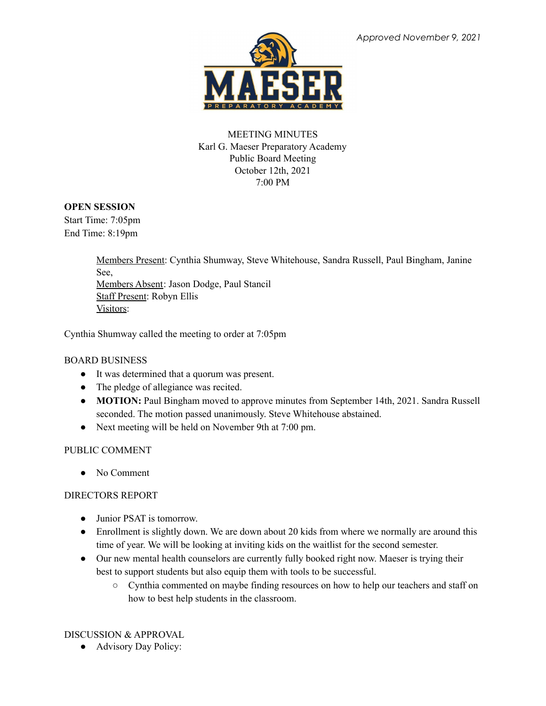

# MEETING MINUTES Karl G. Maeser Preparatory Academy Public Board Meeting October 12th, 2021 7:00 PM

## **OPEN SESSION**

Start Time: 7:05pm End Time: 8:19pm

> Members Present: Cynthia Shumway, Steve Whitehouse, Sandra Russell, Paul Bingham, Janine See, Members Absent: Jason Dodge, Paul Stancil Staff Present: Robyn Ellis Visitors:

Cynthia Shumway called the meeting to order at 7:05pm

## BOARD BUSINESS

- It was determined that a quorum was present.
- The pledge of allegiance was recited.
- **MOTION:** Paul Bingham moved to approve minutes from September 14th, 2021. Sandra Russell seconded. The motion passed unanimously. Steve Whitehouse abstained.
- Next meeting will be held on November 9th at 7:00 pm.

## PUBLIC COMMENT

• No Comment

## DIRECTORS REPORT

- Junior PSAT is tomorrow.
- Enrollment is slightly down. We are down about 20 kids from where we normally are around this time of year. We will be looking at inviting kids on the waitlist for the second semester.
- Our new mental health counselors are currently fully booked right now. Maeser is trying their best to support students but also equip them with tools to be successful.
	- Cynthia commented on maybe finding resources on how to help our teachers and staff on how to best help students in the classroom.

## DISCUSSION & APPROVAL

● Advisory Day Policy: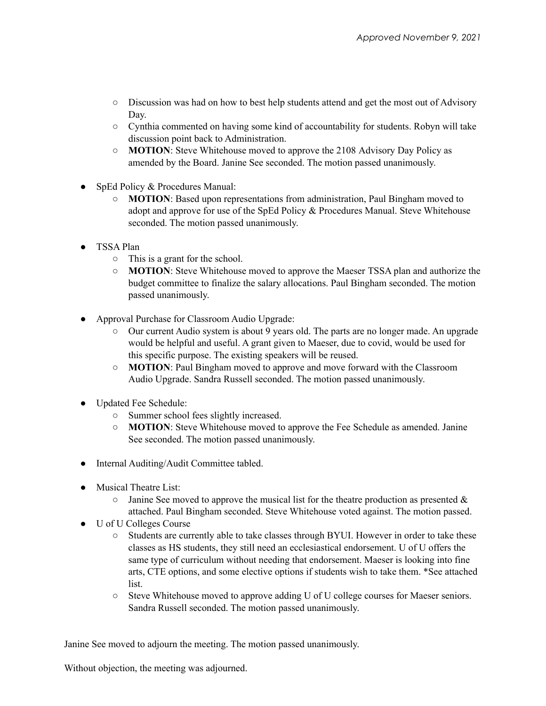- Discussion was had on how to best help students attend and get the most out of Advisory Day.
- Cynthia commented on having some kind of accountability for students. Robyn will take discussion point back to Administration.
- **MOTION**: Steve Whitehouse moved to approve the 2108 Advisory Day Policy as amended by the Board. Janine See seconded. The motion passed unanimously.
- SpEd Policy & Procedures Manual:
	- **MOTION**: Based upon representations from administration, Paul Bingham moved to adopt and approve for use of the SpEd Policy & Procedures Manual. Steve Whitehouse seconded. The motion passed unanimously.
- TSSA Plan
	- This is a grant for the school.
	- **MOTION**: Steve Whitehouse moved to approve the Maeser TSSA plan and authorize the budget committee to finalize the salary allocations. Paul Bingham seconded. The motion passed unanimously.
- Approval Purchase for Classroom Audio Upgrade:
	- Our current Audio system is about 9 years old. The parts are no longer made. An upgrade would be helpful and useful. A grant given to Maeser, due to covid, would be used for this specific purpose. The existing speakers will be reused.
	- **MOTION**: Paul Bingham moved to approve and move forward with the Classroom Audio Upgrade. Sandra Russell seconded. The motion passed unanimously.
- Updated Fee Schedule:
	- Summer school fees slightly increased.
	- **MOTION**: Steve Whitehouse moved to approve the Fee Schedule as amended. Janine See seconded. The motion passed unanimously.
- Internal Auditing/Audit Committee tabled.
- Musical Theatre List
	- $\circ$  Janine See moved to approve the musical list for the theatre production as presented & attached. Paul Bingham seconded. Steve Whitehouse voted against. The motion passed.
- U of U Colleges Course
	- Students are currently able to take classes through BYUI. However in order to take these classes as HS students, they still need an ecclesiastical endorsement. U of U offers the same type of curriculum without needing that endorsement. Maeser is looking into fine arts, CTE options, and some elective options if students wish to take them. \*See attached list.
	- Steve Whitehouse moved to approve adding U of U college courses for Maeser seniors. Sandra Russell seconded. The motion passed unanimously.

Janine See moved to adjourn the meeting. The motion passed unanimously.

Without objection, the meeting was adjourned.